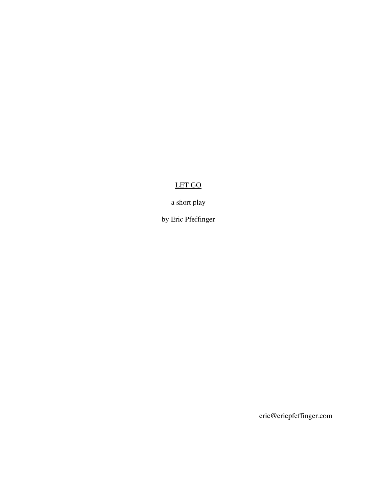# LET GO

a short play

by Eric Pfeffinger

eric@ericpfeffinger.com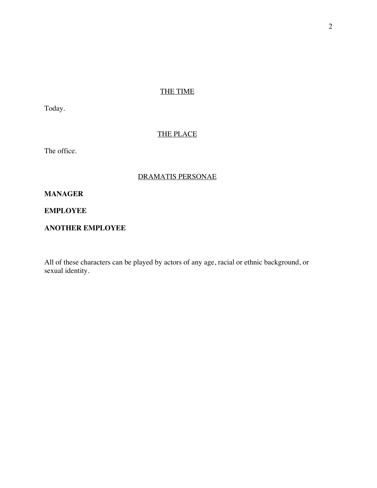# THE TIME

Today.

# THE PLACE

The office.

# DRAMATIS PERSONAE

# **MANAGER**

**EMPLOYEE**

# **ANOTHER EMPLOYEE**

All of these characters can be played by actors of any age, racial or ethnic background, or sexual identity.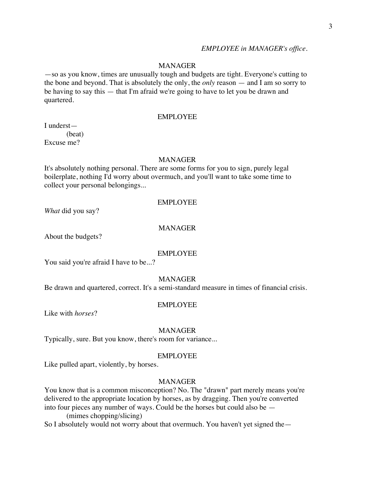# *EMPLOYEE in MANAGER's office.*

# **MANAGER**

—so as you know, times are unusually tough and budgets are tight. Everyone's cutting to the bone and beyond. That is absolutely the only, the *only* reason — and I am so sorry to be having to say this — that I'm afraid we're going to have to let you be drawn and quartered.

# EMPLOYEE

I underst— (beat) Excuse me?

# MANAGER

It's absolutely nothing personal. There are some forms for you to sign, purely legal boilerplate, nothing I'd worry about overmuch, and you'll want to take some time to collect your personal belongings...

#### EMPLOYEE

*What* did you say?

# MANAGER

About the budgets?

#### EMPLOYEE

You said you're afraid I have to be...?

# MANAGER

Be drawn and quartered, correct. It's a semi-standard measure in times of financial crisis.

### EMPLOYEE

Like with *horses*?

#### MANAGER

Typically, sure. But you know, there's room for variance...

#### EMPLOYEE

Like pulled apart, violently, by horses.

# MANAGER

You know that is a common misconception? No. The "drawn" part merely means you're delivered to the appropriate location by horses, as by dragging. Then you're converted into four pieces any number of ways. Could be the horses but could also be —

(mimes chopping/slicing)

So I absolutely would not worry about that overmuch. You haven't yet signed the—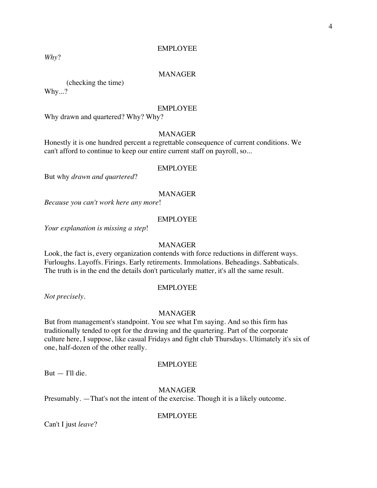### EMPLOYEE

*Why*?

# MANAGER

(checking the time)

Why...?

# EMPLOYEE

Why drawn and quartered? Why? Why?

# **MANAGER**

Honestly it is one hundred percent a regrettable consequence of current conditions. We can't afford to continue to keep our entire current staff on payroll, so...

### EMPLOYEE

But why *drawn and quartered*?

### MANAGER

*Because you can't work here any more*!

#### EMPLOYEE

*Your explanation is missing a step*!

# MANAGER

Look, the fact is, every organization contends with force reductions in different ways. Furloughs. Layoffs. Firings. Early retirements. Immolations. Beheadings. Sabbaticals. The truth is in the end the details don't particularly matter, it's all the same result.

## EMPLOYEE

*Not precisely*.

# MANAGER

But from management's standpoint. You see what I'm saying. And so this firm has traditionally tended to opt for the drawing and the quartering. Part of the corporate culture here, I suppose, like casual Fridays and fight club Thursdays. Ultimately it's six of one, half-dozen of the other really.

# EMPLOYEE

But — I'll die.

# MANAGER

Presumably. —That's not the intent of the exercise. Though it is a likely outcome.

#### EMPLOYEE

Can't I just *leave*?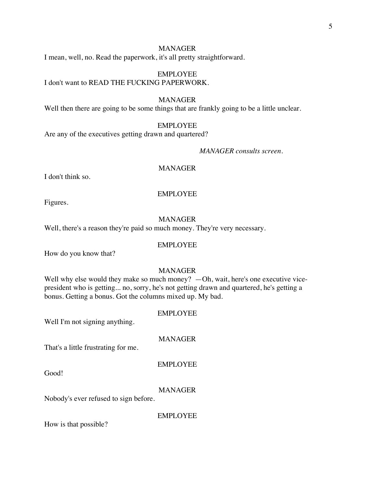# MANAGER

I mean, well, no. Read the paperwork, it's all pretty straightforward.

EMPLOYEE I don't want to READ THE FUCKING PAPERWORK.

# MANAGER

Well then there are going to be some things that are frankly going to be a little unclear.

#### EMPLOYEE

Are any of the executives getting drawn and quartered?

*MANAGER consults screen.*

# MANAGER

I don't think so.

# EMPLOYEE

Figures.

#### MANAGER

Well, there's a reason they're paid so much money. They're very necessary.

# EMPLOYEE

How do you know that?

# MANAGER

Well why else would they make so much money? —Oh, wait, here's one executive vicepresident who is getting... no, sorry, he's not getting drawn and quartered, he's getting a bonus. Getting a bonus. Got the columns mixed up. My bad.

# EMPLOYEE

Well I'm not signing anything.

# MANAGER

That's a little frustrating for me.

#### EMPLOYEE

Good!

#### MANAGER

Nobody's ever refused to sign before.

EMPLOYEE

How is that possible?